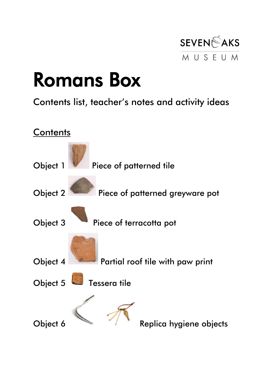

### Romans Box

#### Contents list, teacher's notes and activity ideas

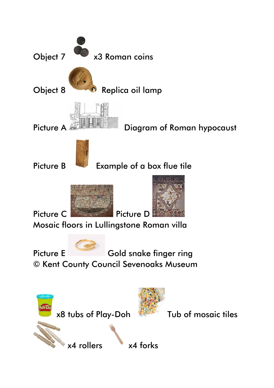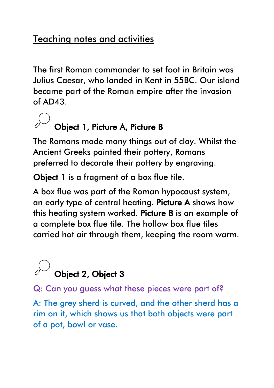#### Teaching notes and activities

The first Roman commander to set foot in Britain was Julius Caesar, who landed in Kent in 55BC. Our island became part of the Roman empire after the invasion of AD43.

# Object 1, Picture A, Picture B

The Romans made many things out of clay. Whilst the Ancient Greeks painted their pottery, Romans preferred to decorate their pottery by engraving.

Object 1 is a fragment of a box flue tile.

A box flue was part of the Roman hypocaust system, an early type of central heating. Picture A shows how this heating system worked. Picture B is an example of a complete box flue tile. The hollow box flue tiles carried hot air through them, keeping the room warm.



Q: Can you guess what these pieces were part of?

A: The grey sherd is curved, and the other sherd has a rim on it, which shows us that both objects were part of a pot, bowl or vase.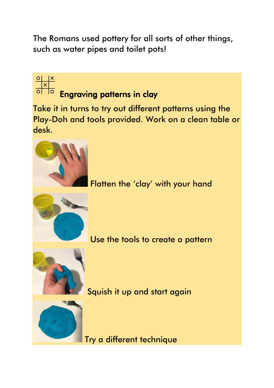The Romans used pottery for all sorts of other things, such as water pipes and toilet pots!

Engraving patterns in clay



Use the tools to create a pattern



 $\begin{array}{c|c}\n\circ & \times \\
\hline\n\circ & \circ \\
\hline\n\circ & \circ\n\end{array}$ 

Squish it up and start again



Try a different technique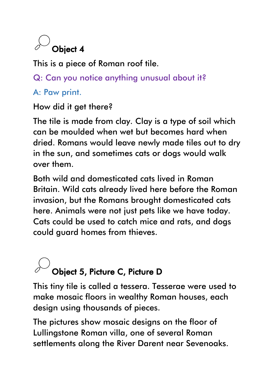### Object 4

This is a piece of Roman roof tile.

Q: Can you notice anything unusual about it?

A: Paw print.

How did it get there?

The tile is made from clay. Clay is a type of soil which can be moulded when wet but becomes hard when dried. Romans would leave newly made tiles out to dry in the sun, and sometimes cats or dogs would walk over them.

Both wild and domesticated cats lived in Roman Britain. Wild cats already lived here before the Roman invasion, but the Romans brought domesticated cats here. Animals were not just pets like we have today. Cats could be used to catch mice and rats, and dogs could guard homes from thieves.

## Object 5, Picture C, Picture D

This tiny tile is called a tessera. Tesserae were used to make mosaic floors in wealthy Roman houses, each design using thousands of pieces.

The pictures show mosaic designs on the floor of Lullingstone Roman villa, one of several Roman settlements along the River Darent near Sevenoaks.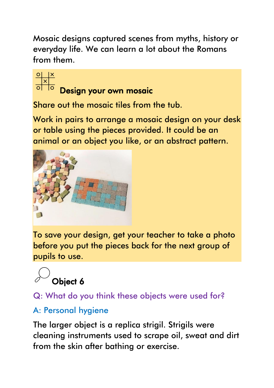Mosaic designs captured scenes from myths, history or everyday life. We can learn a lot about the Romans from them.



### Design your own mosaic

Share out the mosaic tiles from the tub.

Work in pairs to arrange a mosaic design on your desk or table using the pieces provided. It could be an animal or an object you like, or an abstract pattern.



To save your design, get your teacher to take a photo before you put the pieces back for the next group of pupils to use.



#### Q: What do you think these objects were used for?

#### A: Personal hygiene

The larger object is a replica strigil. Strigils were cleaning instruments used to scrape oil, sweat and dirt from the skin after bathing or exercise.